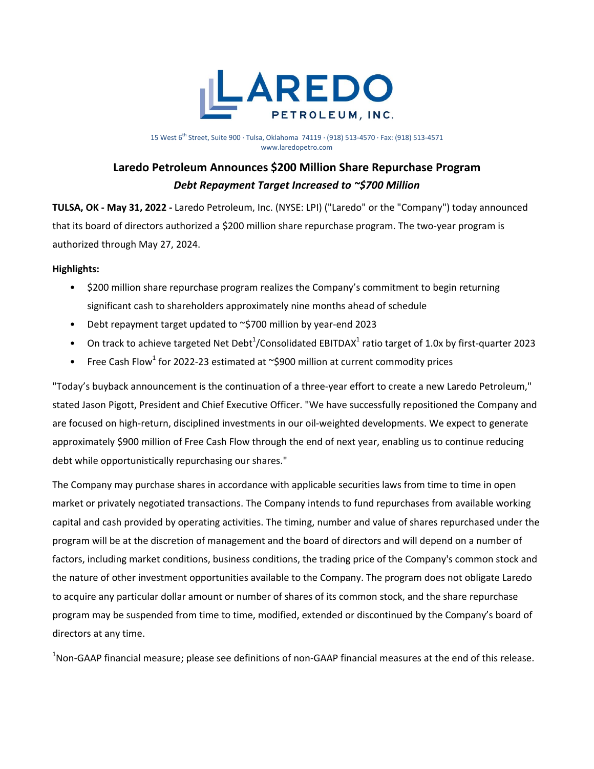

15 West  $6^{th}$  Street, Suite 900  $\cdot$  Tulsa, Oklahoma  $74119\cdot(918)$  513-4570  $\cdot$  Fax: (918) 513-4571 www.laredopetro.com

# **Laredo Petroleum Announces \$200 Million Share Repurchase Program** *Debt Repayment Target Increased to ~\$700 Million*

**TULSA, OK - May 31, 2022 - Laredo Petroleum, Inc. (NYSE: LPI) ("Laredo" or the "Company") today announced** that its board of directors authorized a \$200 million share repurchase program. The two-year program is authorized through May 27, 2024.

# **Highlights:**

- \$200 million share repurchase program realizes the Company's commitment to begin returning significant cash to shareholders approximately nine months ahead of schedule
- Debt repayment target updated to  $\sim$ \$700 million by year-end 2023
- On track to achieve targeted Net Debt<sup>1</sup>/Consolidated EBITDAX<sup>1</sup> ratio target of 1.0x by first-quarter 2023
- Free Cash Flow<sup>1</sup> for 2022-23 estimated at ~\$900 million at current commodity prices

"Today's buyback announcement is the continuation of a three-year effort to create a new Laredo Petroleum," stated Jason Pigott, President and Chief Executive Officer. "We have successfully repositioned the Company and are focused on high-return, disciplined investments in our oil-weighted developments. We expect to generate approximately \$900 million of Free Cash Flow through the end of next year, enabling us to continue reducing debt while opportunistically repurchasing our shares."

The Company may purchase shares in accordance with applicable securities laws from time to time in open market or privately negotiated transactions. The Company intends to fund repurchases from available working capital and cash provided by operating activities. The timing, number and value of shares repurchased under the program will be at the discretion of management and the board of directors and will depend on a number of factors, including market conditions, business conditions, the trading price of the Company's common stock and the nature of other investment opportunities available to the Company. The program does not obligate Laredo to acquire any particular dollar amount or number of shares of its common stock, and the share repurchase program may be suspended from time to time, modified, extended or discontinued by the Company's board of directors at any time.

 $1$ Non-GAAP financial measure; please see definitions of non-GAAP financial measures at the end of this release.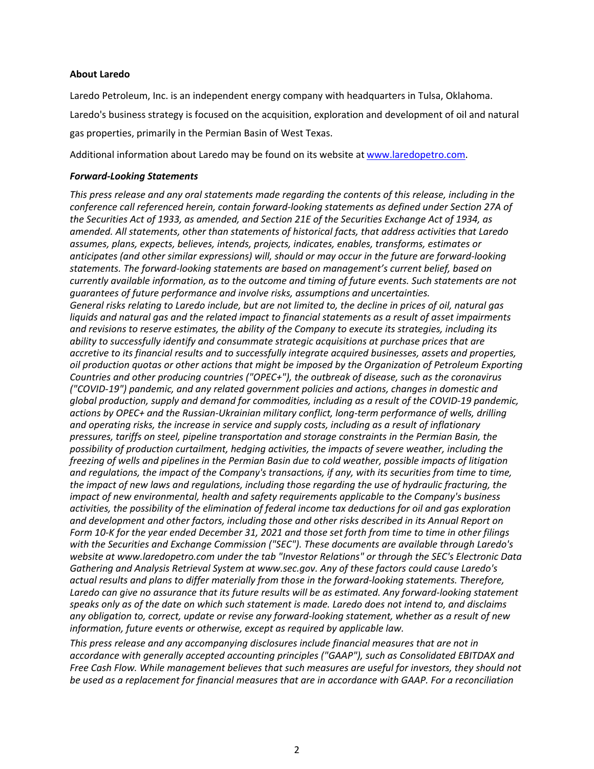## **About Laredo**

Laredo Petroleum, Inc. is an independent energy company with headquarters in Tulsa, Oklahoma. Laredo's business strategy is focused on the acquisition, exploration and development of oil and natural gas properties, primarily in the Permian Basin of West Texas.

Additional information about Laredo may be found on its website at www.laredopetro.com.

### *Forward-Looking Statements*

This press release and any oral statements made regarding the contents of this release, including in the conference call referenced herein, contain forward-looking statements as defined under Section 27A of the Securities Act of 1933, as amended, and Section 21E of the Securities Exchange Act of 1934, as amended. All statements, other than statements of historical facts, that address activities that Laredo assumes, plans, expects, believes, intends, projects, indicates, enables, transforms, estimates or anticipates (and other similar expressions) will, should or may occur in the future are forward-looking statements. The forward-looking statements are based on management's current belief, based on *currently available information, as to the outcome and timing of future events. Such statements are not guarantees of future performance and involve risks, assumptions and uncertainties.* General risks relating to Laredo include, but are not limited to, the decline in prices of oil, natural gas *liquids* and natural gas and the related impact to financial statements as a result of asset impairments and revisions to reserve estimates, the ability of the Company to execute its strategies, including its *ability* to successfully identify and consummate strategic acquisitions at purchase prices that are *accretive to its financial results and to successfully integrate acquired businesses, assets and properties,* oil production quotas or other actions that might be imposed by the Organization of Petroleum Exporting Countries and other producing countries ("OPEC+"), the outbreak of disease, such as the coronavirus *("COVID-19")* pandemic, and any related government policies and actions, changes in domestic and global production, supply and demand for commodities, including as a result of the COVID-19 pandemic, actions by OPEC+ and the Russian-Ukrainian military conflict, long-term performance of wells, drilling and operating risks, the increase in service and supply costs, including as a result of inflationary pressures, tariffs on steel, pipeline transportation and storage constraints in the Permian Basin, the possibility of production curtailment, hedging activities, the impacts of severe weather, including the *freezing* of wells and pipelines in the Permian Basin due to cold weather, possible impacts of litigation and regulations, the *impact of the Company's* transactions, if any, with its securities from time to time, *the impact of new laws and requlations, including those regarding the use of hydraulic fracturing, the impact* of new environmental, health and safety requirements applicable to the Company's business activities, the possibility of the elimination of federal income tax deductions for oil and gas exploration and development and other factors, including those and other risks described in its Annual Report on *Form* 10-K for the year ended December 31, 2021 and those set forth from time to time in other filings with the Securities and Exchange Commission ("SEC"). These documents are available through Laredo's *website* at www.laredopetro.com under the tab "Investor Relations" or through the SEC's Electronic Data Gathering and Analysis Retrieval System at www.sec.gov. Any of these factors could cause Laredo's *actual results and plans to differ materially from those in the forward-looking statements. Therefore,* Laredo can give no assurance that its future results will be as estimated. Any forward-looking statement speaks only as of the date on which such statement is made. Laredo does not intend to, and disclaims any obligation to, correct, update or revise any forward-looking statement, whether as a result of new *information, future events or otherwise, except as required by applicable law.* 

This press release and any accompanying disclosures include financial measures that are not in accordance with generally accepted accounting principles ("GAAP"), such as Consolidated EBITDAX and Free Cash Flow. While management believes that such measures are useful for investors, they should not be used as a replacement for financial measures that are in accordance with GAAP. For a reconciliation